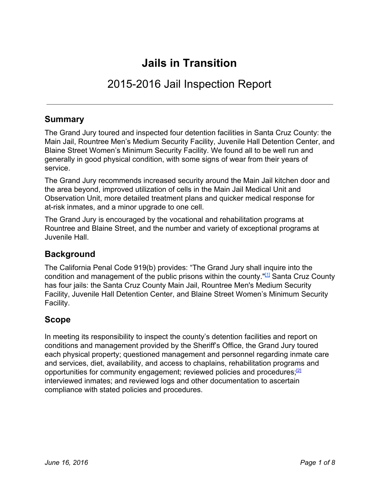# **Jails in Transition**

# 2015-2016 Jail Inspection Report

# **Summary**

The Grand Jury toured and inspected four detention facilities in Santa Cruz County: the Main Jail, Rountree Men's Medium Security Facility, Juvenile Hall Detention Center, and Blaine Street Women's Minimum Security Facility. We found all to be well run and generally in good physical condition, with some signs of wear from their years of service.

The Grand Jury recommends increased security around the Main Jail kitchen door and the area beyond, improved utilization of cells in the Main Jail Medical Unit and Observation Unit, more detailed treatment plans and quicker medical response for at-risk inmates, and a minor upgrade to one cell.

The Grand Jury is encouraged by the vocational and rehabilitation programs at Rountree and Blaine Street, and the number and variety of exceptional programs at Juvenile Hall.

# **Background**

The California Penal Code 919(b) provides: "The Grand Jury shall inquire into the condition and management of the public prisons within the county."<sup>[\[1\]](http://www.leginfo.ca.gov/cgi-bin/displaycode?section=pen&group=00001-01000&file=914-924.6)</sup> Santa Cruz County has four jails: the Santa Cruz County Main Jail, Rountree Men's Medium Security Facility, Juvenile Hall Detention Center, and Blaine Street Women's Minimum Security Facility.

# **Scope**

In meeting its responsibility to inspect the county's detention facilities and report on conditions and management provided by the Sheriff's Office, the Grand Jury toured each physical property; questioned management and personnel regarding inmate care and services, diet, availability, and access to chaplains, rehabilitation programs and opportunities for community engagement; reviewed policies and procedures;<sup>[2]</sup> interviewed inmates; and reviewed logs and other documentation to ascertain compliance with stated policies and procedures.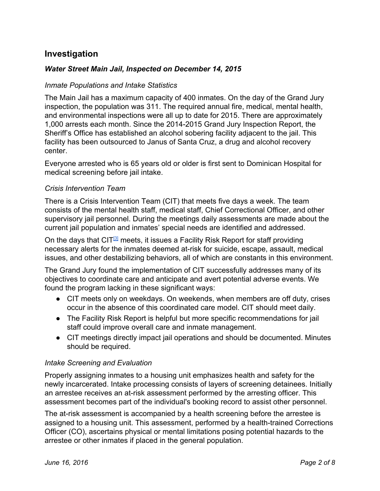# **Investigation**

## *Water Street Main Jail, Inspected on December 14, 2015*

### *Inmate Populations and Intake Statistics*

The Main Jail has a maximum capacity of 400 inmates. On the day of the Grand Jury inspection, the population was 311. The required annual fire, medical, mental health, and environmental inspections were all up to date for 2015. There are approximately 1,000 arrests each month. Since the 2014-2015 Grand Jury Inspection Report, the Sheriff's Office has established an alcohol sobering facility adjacent to the jail. This facility has been outsourced to Janus of Santa Cruz, a drug and alcohol recovery center.

Everyone arrested who is 65 years old or older is first sent to Dominican Hospital for medical screening before jail intake.

#### *Crisis Intervention Team*

There is a Crisis Intervention Team (CIT) that meets five days a week. The team consists of the mental health staff, medical staff, Chief Correctional Officer, and other supervisory jail personnel. During the meetings daily assessments are made about the current jail population and inmates' special needs are identified and addressed.

On the days that CIT<sup>31</sup> meets, it issues a Facility Risk Report for staff providing necessary alerts for the inmates deemed at-risk for suicide, escape, assault, medical issues, and other destabilizing behaviors, all of which are constants in this environment.

The Grand Jury found the implementation of CIT successfully addresses many of its objectives to coordinate care and anticipate and avert potential adverse events. We found the program lacking in these significant ways:

- CIT meets only on weekdays. On weekends, when members are off duty, crises occur in the absence of this coordinated care model. CIT should meet daily.
- The Facility Risk Report is helpful but more specific recommendations for jail staff could improve overall care and inmate management.
- CIT meetings directly impact jail operations and should be documented. Minutes should be required.

#### *Intake Screening and Evaluation*

Properly assigning inmates to a housing unit emphasizes health and safety for the newly incarcerated. Intake processing consists of layers of screening detainees. Initially an arrestee receives an at-risk assessment performed by the arresting officer. This assessment becomes part of the individual's booking record to assist other personnel.

The at-risk assessment is accompanied by a health screening before the arrestee is assigned to a housing unit. This assessment, performed by a health-trained Corrections Officer (CO), ascertains physical or mental limitations posing potential hazards to the arrestee or other inmates if placed in the general population.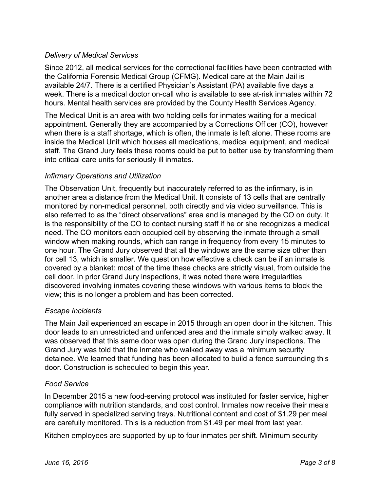## *Delivery of Medical Services*

Since 2012, all medical services for the correctional facilities have been contracted with the California Forensic Medical Group (CFMG). Medical care at the Main Jail is available 24/7. There is a certified Physician's Assistant (PA) available five days a week. There is a medical doctor on-call who is available to see at-risk inmates within 72 hours. Mental health services are provided by the County Health Services Agency.

The Medical Unit is an area with two holding cells for inmates waiting for a medical appointment. Generally they are accompanied by a Corrections Officer (CO), however when there is a staff shortage, which is often, the inmate is left alone. These rooms are inside the Medical Unit which houses all medications, medical equipment, and medical staff. The Grand Jury feels these rooms could be put to better use by transforming them into critical care units for seriously ill inmates.

## *Infirmary Operations and Utilization*

The Observation Unit, frequently but inaccurately referred to as the infirmary, is in another area a distance from the Medical Unit. It consists of 13 cells that are centrally monitored by non-medical personnel, both directly and via video surveillance. This is also referred to as the "direct observations" area and is managed by the CO on duty. It is the responsibility of the CO to contact nursing staff if he or she recognizes a medical need. The CO monitors each occupied cell by observing the inmate through a small window when making rounds, which can range in frequency from every 15 minutes to one hour. The Grand Jury observed that all the windows are the same size other than for cell 13, which is smaller. We question how effective a check can be if an inmate is covered by a blanket: most of the time these checks are strictly visual, from outside the cell door. In prior Grand Jury inspections, it was noted there were irregularities discovered involving inmates covering these windows with various items to block the view; this is no longer a problem and has been corrected.

#### *Escape Incidents*

The Main Jail experienced an escape in 2015 through an open door in the kitchen. This door leads to an unrestricted and unfenced area and the inmate simply walked away. It was observed that this same door was open during the Grand Jury inspections. The Grand Jury was told that the inmate who walked away was a minimum security detainee. We learned that funding has been allocated to build a fence surrounding this door. Construction is scheduled to begin this year.

#### *Food Service*

In December 2015 a new food-serving protocol was instituted for faster service, higher compliance with nutrition standards, and cost control. Inmates now receive their meals fully served in specialized serving trays. Nutritional content and cost of \$1.29 per meal are carefully monitored. This is a reduction from \$1.49 per meal from last year.

Kitchen employees are supported by up to four inmates per shift. Minimum security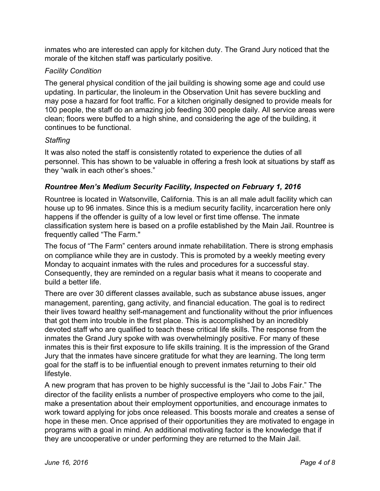inmates who are interested can apply for kitchen duty. The Grand Jury noticed that the morale of the kitchen staff was particularly positive.

## *Facility Condition*

The general physical condition of the jail building is showing some age and could use updating. In particular, the linoleum in the Observation Unit has severe buckling and may pose a hazard for foot traffic. For a kitchen originally designed to provide meals for 100 people, the staff do an amazing job feeding 300 people daily. All service areas were clean; floors were buffed to a high shine, and considering the age of the building, it continues to be functional.

#### *Staffing*

It was also noted the staff is consistently rotated to experience the duties of all personnel. This has shown to be valuable in offering a fresh look at situations by staff as they "walk in each other's shoes."

## *Rountree Men's Medium Security Facility, Inspected on February 1, 2016*

Rountree is located in Watsonville, California. This is an all male adult facility which can house up to 96 inmates. Since this is a medium security facility, incarceration here only happens if the offender is guilty of a low level or first time offense. The inmate classification system here is based on a profile established by the Main Jail. Rountree is frequently called "The Farm."

The focus of "The Farm" centers around inmate rehabilitation. There is strong emphasis on compliance while they are in custody. This is promoted by a weekly meeting every Monday to acquaint inmates with the rules and procedures for a successful stay. Consequently, they are reminded on a regular basis what it means to cooperate and build a better life.

There are over 30 different classes available, such as substance abuse issues, anger management, parenting, gang activity, and financial education. The goal is to redirect their lives toward healthy self-management and functionality without the prior influences that got them into trouble in the first place. This is accomplished by an incredibly devoted staff who are qualified to teach these critical life skills. The response from the inmates the Grand Jury spoke with was overwhelmingly positive. For many of these inmates this is their first exposure to life skills training. It is the impression of the Grand Jury that the inmates have sincere gratitude for what they are learning. The long term goal for the staff is to be influential enough to prevent inmates returning to their old lifestyle.

A new program that has proven to be highly successful is the "Jail to Jobs Fair." The director of the facility enlists a number of prospective employers who come to the jail, make a presentation about their employment opportunities, and encourage inmates to work toward applying for jobs once released. This boosts morale and creates a sense of hope in these men. Once apprised of their opportunities they are motivated to engage in programs with a goal in mind. An additional motivating factor is the knowledge that if they are uncooperative or under performing they are returned to the Main Jail.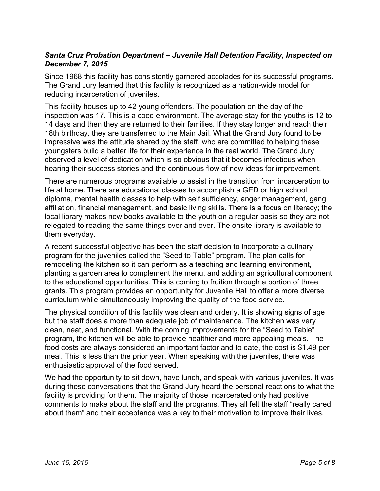## *Santa Cruz Probation Department – Juvenile Hall Detention Facility, Inspected on December 7, 2015*

Since 1968 this facility has consistently garnered accolades for its successful programs. The Grand Jury learned that this facility is recognized as a nation-wide model for reducing incarceration of juveniles.

This facility houses up to 42 young offenders. The population on the day of the inspection was 17. This is a coed environment. The average stay for the youths is 12 to 14 days and then they are returned to their families. If they stay longer and reach their 18th birthday, they are transferred to the Main Jail. What the Grand Jury found to be impressive was the attitude shared by the staff, who are committed to helping these youngsters build a better life for their experience in the real world. The Grand Jury observed a level of dedication which is so obvious that it becomes infectious when hearing their success stories and the continuous flow of new ideas for improvement.

There are numerous programs available to assist in the transition from incarceration to life at home. There are educational classes to accomplish a GED or high school diploma, mental health classes to help with self sufficiency, anger management, gang affiliation, financial management, and basic living skills. There is a focus on literacy; the local library makes new books available to the youth on a regular basis so they are not relegated to reading the same things over and over. The onsite library is available to them everyday.

A recent successful objective has been the staff decision to incorporate a culinary program for the juveniles called the "Seed to Table" program. The plan calls for remodeling the kitchen so it can perform as a teaching and learning environment, planting a garden area to complement the menu, and adding an agricultural component to the educational opportunities. This is coming to fruition through a portion of three grants. This program provides an opportunity for Juvenile Hall to offer a more diverse curriculum while simultaneously improving the quality of the food service.

The physical condition of this facility was clean and orderly. It is showing signs of age but the staff does a more than adequate job of maintenance. The kitchen was very clean, neat, and functional. With the coming improvements for the "Seed to Table" program, the kitchen will be able to provide healthier and more appealing meals. The food costs are always considered an important factor and to date, the cost is \$1.49 per meal. This is less than the prior year. When speaking with the juveniles, there was enthusiastic approval of the food served.

We had the opportunity to sit down, have lunch, and speak with various juveniles. It was during these conversations that the Grand Jury heard the personal reactions to what the facility is providing for them. The majority of those incarcerated only had positive comments to make about the staff and the programs. They all felt the staff "really cared about them" and their acceptance was a key to their motivation to improve their lives.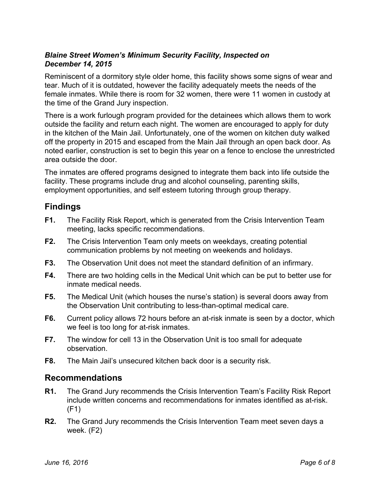## *Blaine Street Women's Minimum Security Facility, Inspected on December 14, 2015*

Reminiscent of a dormitory style older home, this facility shows some signs of wear and tear. Much of it is outdated, however the facility adequately meets the needs of the female inmates. While there is room for 32 women, there were 11 women in custody at the time of the Grand Jury inspection.

There is a work furlough program provided for the detainees which allows them to work outside the facility and return each night. The women are encouraged to apply for duty in the kitchen of the Main Jail. Unfortunately, one of the women on kitchen duty walked off the property in 2015 and escaped from the Main Jail through an open back door. As noted earlier, construction is set to begin this year on a fence to enclose the unrestricted area outside the door.

The inmates are offered programs designed to integrate them back into life outside the facility. These programs include drug and alcohol counseling, parenting skills, employment opportunities, and self esteem tutoring through group therapy.

# **Findings**

- **F1.** The Facility Risk Report, which is generated from the Crisis Intervention Team meeting, lacks specific recommendations.
- **F2.** The Crisis Intervention Team only meets on weekdays, creating potential communication problems by not meeting on weekends and holidays.
- **F3.** The Observation Unit does not meet the standard definition of an infirmary.
- **F4.** There are two holding cells in the Medical Unit which can be put to better use for inmate medical needs.
- **F5.** The Medical Unit (which houses the nurse's station) is several doors away from the Observation Unit contributing to less-than-optimal medical care.
- **F6.** Current policy allows 72 hours before an at-risk inmate is seen by a doctor, which we feel is too long for at-risk inmates.
- **F7.** The window for cell 13 in the Observation Unit is too small for adequate observation.
- **F8.** The Main Jail's unsecured kitchen back door is a security risk.

# **Recommendations**

- **R1.** The Grand Jury recommends the Crisis Intervention Team's Facility Risk Report include written concerns and recommendations for inmates identified as at-risk. (F1)
- **R2.** The Grand Jury recommends the Crisis Intervention Team meet seven days a week. (F2)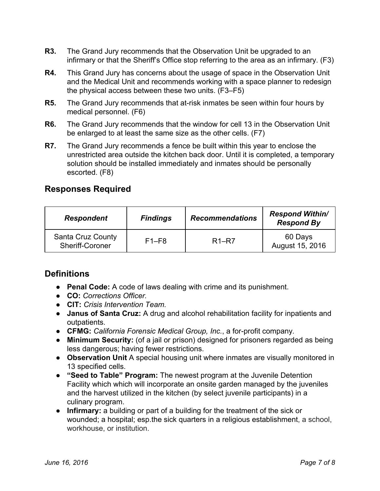- **R3.** The Grand Jury recommends that the Observation Unit be upgraded to an infirmary or that the Sheriff's Office stop referring to the area as an infirmary. (F3)
- **R4.** This Grand Jury has concerns about the usage of space in the Observation Unit and the Medical Unit and recommends working with a space planner to redesign the physical access between these two units. (F3–F5)
- **R5.** The Grand Jury recommends that at-risk inmates be seen within four hours by medical personnel. (F6)
- **R6.** The Grand Jury recommends that the window for cell 13 in the Observation Unit be enlarged to at least the same size as the other cells. (F7)
- **R7.** The Grand Jury recommends a fence be built within this year to enclose the unrestricted area outside the kitchen back door. Until it is completed, a temporary solution should be installed immediately and inmates should be personally escorted. (F8)

# **Responses Required**

| <b>Respondent</b>                           | <b>Findings</b> | <b>Recommendations</b> | <b>Respond Within/</b><br><b>Respond By</b> |
|---------------------------------------------|-----------------|------------------------|---------------------------------------------|
| <b>Santa Cruz County</b><br>Sheriff-Coroner | $F1-F8$         | $R1 - R7$              | 60 Days<br>August 15, 2016                  |

# **Definitions**

- **Penal Code:**A code of laws dealing with crime and its punishment.
- **CO:***Corrections Officer.*
- *●* **CIT:***Crisis Intervention Team.*
- *●* **Janus of Santa Cruz:**A drug and alcohol rehabilitation facility for inpatients and outpatients.
- **CFMG:** California Forensic Medical Group, Inc., a for-profit company.
- *●* **Minimum Security:**(of a jail or prison) designed for prisoners regarded as being less dangerous; having fewer restrictions.
- *●* **Observation Unit**A special housing unit where inmates are visually monitored in 13 specified cells.
- *●* **"Seed to Table" Program:**The newest program at the Juvenile Detention Facility which which will incorporate an onsite garden managed by the juveniles and the harvest utilized in the kitchen (by select juvenile participants) in a culinary program.
- *●* **Infirmary:**a building or part of a building for the treatment of the sick or wounded; a hospital; esp.the sick quarters in a religious establishment, a school, workhouse, or institution.